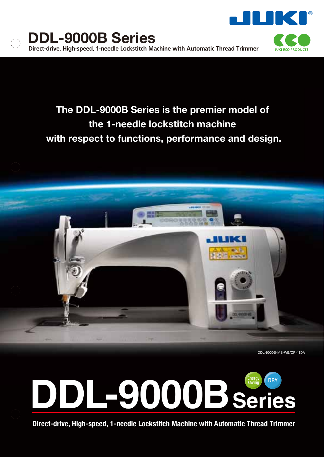

## **The DDL-9000B Series is the premier model of the 1-needle lockstitch machine with respect to functions, performance and design.**





**Direct-drive, High-speed, 1-needle Lockstitch Machine with Automatic Thread Trimmer**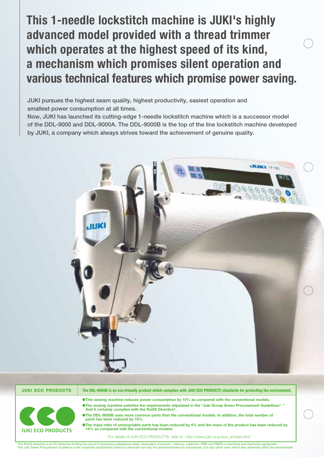# **This 1-needle lockstitch machine is JUKI's highly advanced model provided with a thread trimmer which operates at the highest speed of its kind, a mechanism which promises silent operation and various technical features which promise power saving.**

**JUKI pursues the highest seam quality, highest productivity, easiest operation and smallest power consumption at all times.** 

**Now, JUKI has launched its cutting-edge 1-needle lockstitch machine which is a successor model of the DDL-9000 and DDL-9000A. The DDL-9000B is the top of the line lockstitch machine developed by JUKI, a company which always strives toward the achievement of genuine quality.**



**JUKI ECO PRODUCTSThe DDL-9000B is an eco-friendly product which complies with JUKI ECO PRODUCTS standards for protecting the environment.** ●**This sewing machine reduces power consumption by 15% as compared with the conventional models.** ●**The sewing machine satisfies the requirements stipulated in the "Juki Group Green Procurement Guidelines\*. " And it certainly complies with the RoHS Directive\*.** ●**The DDL-9000B uses more common parts than the conventional models. In addition, the total number of parts has been reduced by 15%.** ●**The mass ratio of unrecyclable parts has been reduced by 4% and the mass of the product has been reduced by JUKI ECO PRODUCTS 14% as compared with the conventional models.** For details of JUKI ECO PRODUCTS, refer to : http://www.juki.co.jp/eco\_e/index.html

\* The RoHS Directive is an EU Directive limiting the use of 6 hazardous substances (lead, hexavalent chromium, mercury, cadmium, PBB and PBDE) in electrical and electronic equipment.<br>The Juki Green Procurement Guideline is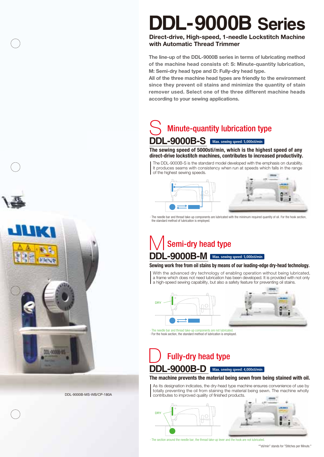# **DDL-9000B Series**

## **Direct-drive, High-speed, 1-needle Lockstitch Machine with Automatic Thread Trimmer**

**The line-up of the DDL-9000B series in terms of lubricating method of the machine head consists of: S: Minute-quantity lubrication, M: Semi-dry head type and D: Fully-dry head type.** 

**All of the three machine head types are friendly to the environment since they prevent oil stains and minimize the quantity of stain remover used. Select one of the three different machine heads according to your sewing applications.**

## **DDL-9000B-S Max. sewing speed: 5,000sti/min** Minute-quantity lubrication type S<sub>S</sub>

#### **The sewing speed of 5000sti/min, which is the highest speed of any direct-drive lockstitch machines, contributes to increased productivity.**

The DDL-9000B-S is the standard model developed with the emphasis on durability. It produces seams with consistency when run at speeds which falls in the range of the highest sewing speeds.



· The needle bar and thread take-up components are lubricated with the minimum required quantity of oil. For the hook section, the standard method of lubrication is employed.

## **DDL-9000B-M Max. sewing speed: 5,000sti/min** Semi-dry head type M

#### **Sewing work free from oil stains by means of our leading-edge dry-head technology.**

With the advanced dry technology of enabling operation without being lubricated, a frame which does not need lubrication has been developed. It is provided with not only a high-speed sewing capability, but also a safety feature for preventing oil stains.



· The needle bar and thread take-up components are not lubricated. · For the hook section, the standard method of lubrication is employed. icated

## **DDL-9000B-D Max. sewing speed: 4,000sti/min** Fully-dry head type D

#### **The machine prevents the material being sewn from being stained with oil.**

As its designation indicates, the dry-head type machine ensures convenience of use by totally preventing the oil from staining the material being sewn. The machine wholly contributes to improved quality of finished products.



· The section around the needle bar, the thread take-up lever and the hook are not lubricated.

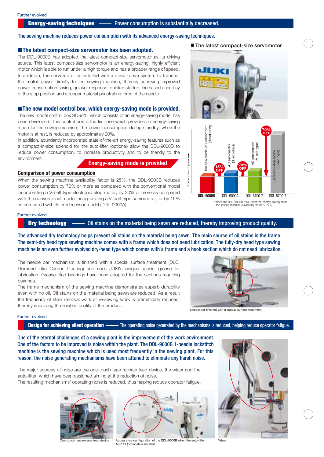#### The sewing machine reduces power consumption with its advanced energy-saving techniques.

#### **The latest compact-size servomotor has been adopted.**

The DDL-9000B has adopted the latest compact-size servomotor as its driving source. This latest compact-size servomotor is an energy-saving, highly efficient motor which is able to run under a high torque and has a broader range of speed. In addition, the servomotor is installed with a direct-drive system to transmit the motor power directly to the sewing machine, thereby achieving improved power-consumption saving, quicker response, quicker startup, increased accuracy of the stop position and stronger material penetrating force of the needle.

#### **Example 1** The new model control box, which energy-saving mode is provided.

The new model control box SC-920, which consists of an energy-saving mode, has been developed. This control box is the first one which provides an energy-saving mode for the sewing machine. The power consumption during standby, when the motor is at rest, is reduced by approximately 20%.

In addition, abundantly incorporated state-of-the-art energy-saving features such as a compact-in-size solenoid for the auto-lifter (optional) allow the DDL-9000B to reduce power consumption, to increase productivity and to be friendly to the environment.

### **Energy-saving mode is provided**

#### **Comparison of power consumption**

When the sewing machine availability factor is 25%, the DDL-9000B reduces power consumption by 70% or more as compared with the conventional model incorporating a V-belt type electronic stop motor, by 20% or more as compared with the conventional model incorporating a V-belt type servomotor, or by 15% as compared with its predecessor model (DDL-9000A).





#### Further evolved

**Dry technology**  $\longrightarrow$  Oil stains on the material being sewn are reduced, thereby improving product quality.

The advanced dry technology helps prevent oil stains on the material being sewn. The main source of oil stains is the frame. The semi-dry head type sewing machine comes with a frame which does not need lubrication. The fully-dry head type sewing machine is an even further evolved dry-head type which comes with a frame and a hook section which do not need lubrication.

The needle bar mechanism is finished with a special surface treatment (DLC, Diamond Like Carbon Coating) and uses JUKI's unique special grease for lubrication. Grease-filled bearings have been adopted for the sections requiring bearings.

The frame mechanism of the sewing machine demonstrates superb durability even with no oil. Oil stains on the material being sewn are reduced. As a result the frequency of stain removal work or re-sewing work is dramatically reduced, thereby improving the finished quality of the product.



#### Needle bar finished with a special surface treatment

#### Further evolved

#### **Design for achieving silent operation** ——— The operating noise generated by the mechanisms is reduced, helping reduce operator fatigue.

One of the eternal challenges of a sewing plant is the improvement of the work environment. One of the factors to be improved is noise within the plant. The DDL-9000B 1-needle lockstitch machine is the sewing machine which is used most frequently in the sewing plant. For this reason, the noise generating mechanisms have been attuned to eliminate any harsh noise.

The major sources of noise are the one-touch type reverse feed device, the wiper and the auto-lifter, which have been designed aiming at the reduction of noise. The resulting mechanisms' operating noise is reduced, thus helping reduce operator fatigue.





One-touch type reverse feed device Appearance configuration of the DDL-9000B when the auto-lifter Wiper AK-141 (optional) is installed



**The latest compact-size servomotor**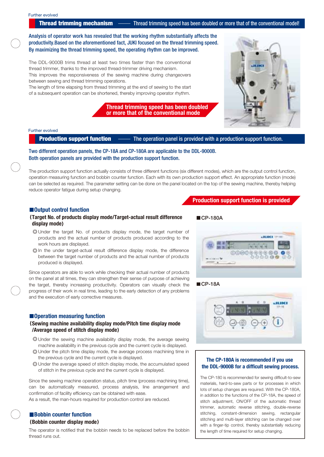**Thread trimming mechanism** ——— Thread trimming speed has been doubled or more that of the conventional model!

Analysis of operator work has revealed that the working rhythm substantially affects the productivity.Based on the aforementioned fact, JUKI focused on the thread trimming speed. By maximizing the thread trimming speed, the operating rhythm can be improved.

The DDL-9000B trims thread at least two times faster than the conventional thread trimmer, thanks to the improved thread-trimmer driving mechanism. This improves the responsiveness of the sewing machine during changeovers between sewing and thread trimming operations.

The length of time elapsing from thread trimming at the end of sewing to the start of a subsequent operation can be shortened, thereby improving operator rhythm.

> **Thread trimming speed has been doubled or more that of the conventional mode**



#### Further evolved

**Production support function** —— The operation panel is provided with a production support function.

Two different operation panels, the CP-18A and CP-180A are applicable to the DDL-9000B. Both operation panels are provided with the production support function.

The production support function actually consists of three different functions (six different modes), which are the output control function, operation measuring function and bobbin counter function. Each with its own production support effect. An appropriate function (mode) can be selected as required. The parameter setting can be done on the panel located on the top of the sewing machine, thereby helping reduce operator fatigue during setup changing.

#### $\blacksquare$  Output control function

#### **Target No. of products display mode/Target-actual result difference display mode**

- Under the target No. of products display mode, the target number of products and the actual number of products produced according to the work hours are displayed.
- In the under target-actual result difference display mode, the difference between the target number of products and the actual number of products produced is displayed.

Since operators are able to work while checking their actual number of products on the panel at all times, they can strengthen their sense of purpose of achieving the target, thereby increasing productivity. Operators can visually check the progress of their work in real time, leading to the early detection of any problems and the execution of early corrective measures.

#### $\blacksquare$  Operation measuring function

#### **Sewing machine availability display mode/Pitch time display mode /Average speed of stitch display mode**

- Under the sewing machine availability display mode, the average sewing machine availability in the previous cycle and the current cycle is displayed.
- Under the pitch time display mode, the average process machining time in the previous cycle and the current cycle is displayed.
- Under the average speed of stitch display mode, the accumulated speed of stitch in the previous cycle and the current cycle is displayed.

Since the sewing machine operation status, pitch time (process machining time), can be automatically measured, process analysis, line arrangement and confirmation of facility efficiency can be obtained with ease. As a result, the man-hours required for production control are reduced.

#### **E** Bobbin counter function  **Bobbin counter display mode**

The operator is notified that the bobbin needs to be replaced before the bobbin thread runs out.

**Production support function is provided**

#### **CP-180A**



#### **CP-18A**



#### **The CP-180A is recommended if you use the DDL-9000B for a difficult sewing process.**

The CP-180 is recommended for sewing difficult-to-sew materials, hard-to-sew parts or for processes in which lots of setup changes are required. With the CP-180A, in addition to the functions of the CP-18A, the speed of stitch adjustment, ON/OFF of the automatic thread trimmer, automatic reverse stitching, double-reverse stitching, constant-dimension sewing, rectangular stitching and multi-layer stitching can be changed over with a finger-tip control, thereby substantially reducing the length of time required for setup changing.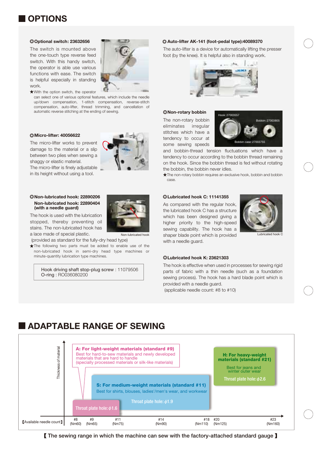## **OPTIONS**

#### **Optional switch: 23632656**

The switch is mounted above the one-touch type reverse feed switch. With this handy switch, the operator is able use various functions with ease. The switch is helpful especially in standing work.

With the option switch, the operator

can select one of various optional features, which include the needle up/down compensation, 1-stitch compensation, reverse-stitch compensation, auto-lifter, thread trimming, and cancellation of automatic reverse stitching at the ending of sewing.

#### **Micro-lifter: 40056622**



#### **Non-lubricated hook: 22890206 Non-lubricated hook: 22890404 (with a needle guard)**

The hook is used with the lubrication stopped, thereby preventing oil stains. The non-lubricated hook has a lace made of special plastic.

(provided as standard for the fully-dry head type)

The following two parts must be added to enable use of the non-lubricated hook in semi-dry head type machines or minute-quantity lubrication type machines.

Hook driving shaft stop-plug screw : 11079506 O-ring : RO036080200



#### **Auto-lifter AK-141 (foot-pedal type):40089370**

The auto-lifter is a device for automatically lifting the presser foot (by the knee). It is helpful also in standing work.



#### **Non-rotary bobbin**

The non-rotary bobbin eliminates irregular stitches which have a tendency to occur at some sewing speeds



and bobbin-thread tension fluctuations which have a tendency to occur according to the bobbin thread remaining on the hook. Since the bobbin thread is fed without rotating the bobbin, the bobbin never idles.

The non-rotary bobbin requires an exclusive hook, bobbin and bobbin case.

#### **Lubricated hook C: 11141355**

As compared with the regular hook, the lubricated hook C has a structure which has been designed giving a higher priority to the high-speed sewing capability. The hook has a Non-lubricated hook and shaper blade point which is provided busicated hook C with a needle guard.



#### **Lubricated hook K: 23621303**

The hook is effective when used in processes for sewing rigid parts of fabric with a thin needle (such as a foundation sewing process). The hook has a hard blade point which is provided with a needle guard.

(applicable needle count: #8 to #10)

## **ADAPTABLE RANGE OF SEWING**



**The sewing range in which the machine can sew with the factory-attached standard gauge**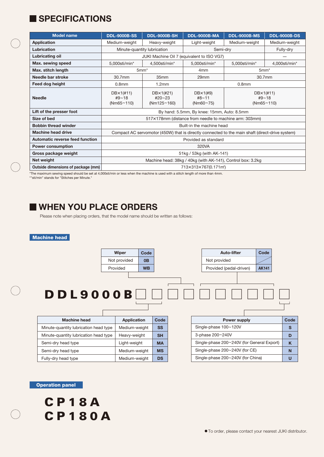## **I SPECIFICATIONS**

| <b>Model name</b>                  | <b>DDL-9000B-SS</b>                                                                             | <b>DDL-9000B-SH</b>                       | <b>DDL-9000B-MA</b>                                    | <b>DDL-9000B-MS</b>                        | <b>DDL-9000B-DS</b> |
|------------------------------------|-------------------------------------------------------------------------------------------------|-------------------------------------------|--------------------------------------------------------|--------------------------------------------|---------------------|
| <b>Application</b>                 | Medium-weight                                                                                   | Heavy-weight                              | Light-weight                                           | Medium-weight                              | Medium-weight       |
| Lubrication                        | Minute-quantity lubrication                                                                     |                                           | Semi-drv                                               |                                            | Fully-dry           |
| Lubricating oil                    | JUKI Machine Oil 7 (equivalent to ISO VG7)                                                      |                                           |                                                        |                                            |                     |
| Max. sewing speed                  | 5,000sti/min*                                                                                   | 4,500sti/min*                             | 5,000sti/min*                                          | 5,000sti/min*                              | 4,000sti/min*       |
| Max. stitch length                 | 5mm <sup>*</sup>                                                                                |                                           | 4 <sub>mm</sub>                                        | $5mm*$                                     |                     |
| Needle bar stroke                  | 30.7mm                                                                                          | 35 <sub>mm</sub>                          | 29mm                                                   | 30.7mm                                     |                     |
| Feed dog height                    | 0.8 <sub>mm</sub>                                                                               | 1.2mm                                     | 0.8 <sub>mm</sub>                                      |                                            |                     |
| <b>Needle</b>                      | $DBx1(\#11)$<br>#9~18<br>(Nm65~110)                                                             | DB×1(#21)<br>$#20 \sim 23$<br>(Nm125~160) | $DB \times 1$ (#9)<br>$#8 \sim 11$<br>$(Nm60 \sim 75)$ | $DBx1(\#11)$<br>$#9 \sim 18$<br>(Nm65~110) |                     |
| Lift of the presser foot           | By hand: 5.5mm, By knee: 15mm, Auto: 8.5mm                                                      |                                           |                                                        |                                            |                     |
| Size of bed                        | 517×178mm (distance from needle to machine arm: 303mm)                                          |                                           |                                                        |                                            |                     |
| <b>Bobbin thread winder</b>        | Built-in the machine head                                                                       |                                           |                                                        |                                            |                     |
| <b>Machine head drive</b>          | Compact AC servomotor (450W) that is directly connected to the main shaft (direct-drive system) |                                           |                                                        |                                            |                     |
| Automatic reverse feed function    | Provided as standard                                                                            |                                           |                                                        |                                            |                     |
| <b>Power consumption</b>           | 320VA                                                                                           |                                           |                                                        |                                            |                     |
| Gross package weight               | 51kg / 53kg (with AK-141)                                                                       |                                           |                                                        |                                            |                     |
| Net weight                         | Machine head: 38kg / 40kg (with AK-141), Control box: 3.2kg                                     |                                           |                                                        |                                            |                     |
| Outside dimensions of package (mm) | 713×313×767(0.171m <sup>3</sup> )                                                               |                                           |                                                        |                                            |                     |

\*The maximum sewing speed should be set at 4,000sti/min or less when the machine is used with a stitch length of more than 4mm. \*"sti/min" stands for "Stitches per Minute."

## **WHEN YOU PLACE ORDERS**

Please note when placing orders, that the model name should be written as follows:

#### **Machine head**



**DS**

Medium-weight

#### **Operation panel**

Fully-dry head type

**U**

Single-phase 200~240V (for China)